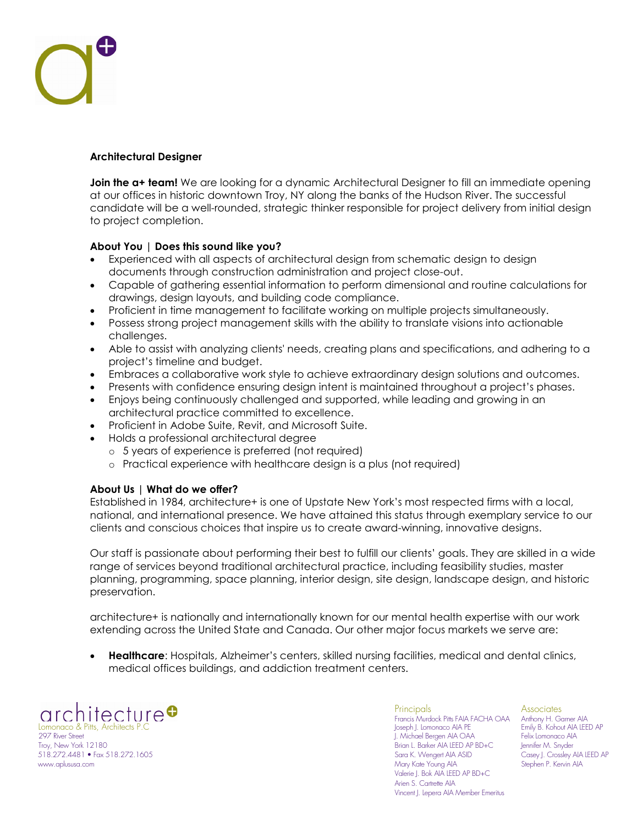## **Architectural Designer**

**Join the a+ team!** We are looking for a dynamic Architectural Designer to fill an immediate opening at our offices in historic downtown Troy, NY along the banks of the Hudson River. The successful candidate will be a well-rounded, strategic thinker responsible for project delivery from initial design to project completion.

## **About You | Does this sound like you?**

- Experienced with all aspects of architectural design from schematic design to design documents through construction administration and project close-out.
- Capable of gathering essential information to perform dimensional and routine calculations for drawings, design layouts, and building code compliance.
- Proficient in time management to facilitate working on multiple projects simultaneously.
- Possess strong project management skills with the ability to translate visions into actionable challenges.
- Able to assist with analyzing clients' needs, creating plans and specifications, and adhering to a project's timeline and budget.
- Embraces a collaborative work style to achieve extraordinary design solutions and outcomes.
- Presents with confidence ensuring design intent is maintained throughout a project's phases.
- Enjoys being continuously challenged and supported, while leading and growing in an architectural practice committed to excellence.
- Proficient in Adobe Suite, Revit, and Microsoft Suite.
- Holds a professional architectural degree
	- o 5 years of experience is preferred (not required)
	- o Practical experience with healthcare design is a plus (not required)

## **About Us | What do we offer?**

Established in 1984, architecture+ is one of Upstate New York's most respected firms with a local, national, and international presence. We have attained this status through exemplary service to our clients and conscious choices that inspire us to create award-winning, innovative designs.

Our staff is passionate about performing their best to fulfill our clients' goals. They are skilled in a wide range of services beyond traditional architectural practice, including feasibility studies, master planning, programming, space planning, interior design, site design, landscape design, and historic preservation.

architecture+ is nationally and internationally known for our mental health expertise with our work extending across the United State and Canada. Our other major focus markets we serve are:

• **Healthcare**: Hospitals, Alzheimer's centers, skilled nursing facilities, medical and dental clinics, medical offices buildings, and addiction treatment centers.

architecture**o** Lomonaco & Pitts, Architects P.<br>297 River Street Troy, New York 12180 Brian L. Barker AIA LEED AP BD+C Jennifer M. Snyder 518.272.4481 • Fax 518.272.1605 www.aplususa.com Mary Kate Young AIA Stephen P. Kervin AIA

Principals **Associates** Francis Murdock Pitts FAIA FACHA OAA Anthony H. Garner AIA J. Michael Bergen AIA OAA Felix Lomonaco AIA Valerie J. Bok AIA LEED AP BD+C Arien S. Cartrette AIA Vincent J. Lepera AIA Member Emeritus